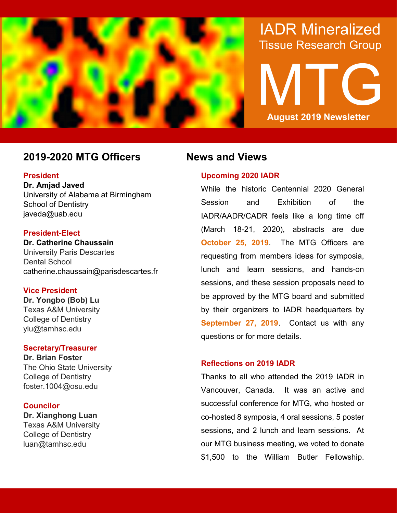

# IADR Mineralized Tissue Research Group

# MTG **August 2019 Newsletter**

## **2019-2020 MTG Officers News and Views**

#### **President**

**Dr. Amjad Javed** University of Alabama at Birmingham School of Dentistry javeda@uab.edu

#### **President-Elect**

**Dr. Catherine Chaussain** University Paris Descartes Dental School catherine.chaussain@parisdescartes.fr

### **Vice President**

**Dr. Yongbo (Bob) Lu** Texas A&M University College of Dentistry ylu@tamhsc.edu

### **Secretary/Treasurer**

**Dr. Brian Foster** The Ohio State University College of Dentistry foster.1004@osu.edu

### **Councilor**

**Dr. Xianghong Luan** Texas A&M University College of Dentistry luan@tamhsc.edu

### **Upcoming 2020 IADR**

While the historic Centennial 2020 General Session and Exhibition of the IADR/AADR/CADR feels like a long time off (March 18-21, 2020), abstracts are due **October 25, 2019**. The MTG Officers are requesting from members ideas for symposia, lunch and learn sessions, and hands-on sessions, and these session proposals need to be approved by the MTG board and submitted by their organizers to IADR headquarters by **September 27, 2019**. Contact us with any questions or for more details.

### **Reflections on 2019 IADR**

Thanks to all who attended the 2019 IADR in Vancouver, Canada. It was an active and successful conference for MTG, who hosted or co-hosted 8 symposia, 4 oral sessions, 5 poster sessions, and 2 lunch and learn sessions. At our MTG business meeting, we voted to donate \$1,500 to the William Butler Fellowship.